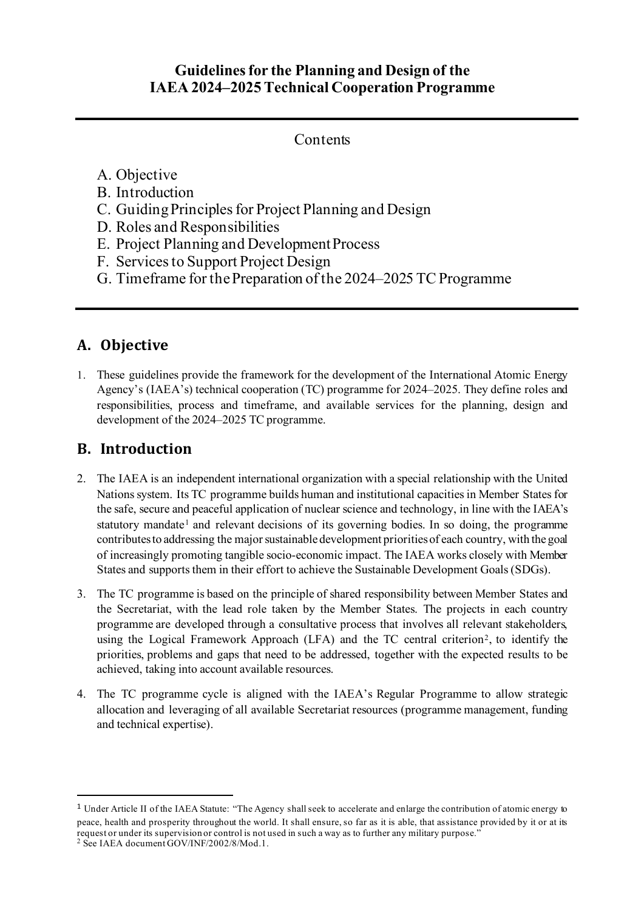#### **Guidelines for the Planning and Design of the IAEA 2024–2025Technical Cooperation Programme**

#### **Contents**

#### A. Objective

- B. Introduction
- C. Guiding Principles for Project Planning and Design
- D. Roles and Responsibilities
- E. Project Planning and Development Process
- F. Servicesto Support Project Design
- G. Timeframe for the Preparation of the 2024–2025 TC Programme

## **A. Objective**

1. These guidelines provide the framework for the development of the International Atomic Energy Agency's (IAEA's) technical cooperation (TC) programme for 2024–2025. They define roles and responsibilities, process and timeframe, and available services for the planning, design and development of the 2024–2025 TC programme.

## **B. Introduction**

- 2. The IAEA is an independent international organization with a special relationship with the United Nations system. Its TC programme builds human and institutional capacities in Member States for the safe, secure and peaceful application of nuclear science and technology, in line with the IAEA's statutory mandate<sup>[1](#page-0-0)</sup> and relevant decisions of its governing bodies. In so doing, the programme contributesto addressing the major sustainable development priorities of each country, with the goal of increasingly promoting tangible socio-economic impact. The IAEA works closely with Member States and supports them in their effort to achieve the Sustainable Development Goals(SDGs).
- 3. The TC programme is based on the principle of shared responsibility between Member States and the Secretariat, with the lead role taken by the Member States. The projects in each country programme are developed through a consultative process that involves all relevant stakeholders, using the Logical Framework Approach (LFA) and the TC central criterion<sup>[2](#page-0-1)</sup>, to identify the priorities, problems and gaps that need to be addressed, together with the expected results to be achieved, taking into account available resources.
- 4. The TC programme cycle is aligned with the IAEA's Regular Programme to allow strategic allocation and leveraging of all available Secretariat resources (programme management, funding and technical expertise).

<span id="page-0-0"></span><sup>1</sup> Under Article II of the IAEA Statute: "The Agency shall seek to accelerate and enlarge the contribution of atomic energy to peace, health and prosperity throughout the world. It shall ensure, so far as it is able, that assistance provided by it or at its request or under its supervision or control is not used in such a way as to further any military purpose."

<span id="page-0-1"></span><sup>&</sup>lt;sup>2</sup> See IAEA document GOV/INF/2002/8/Mod.1.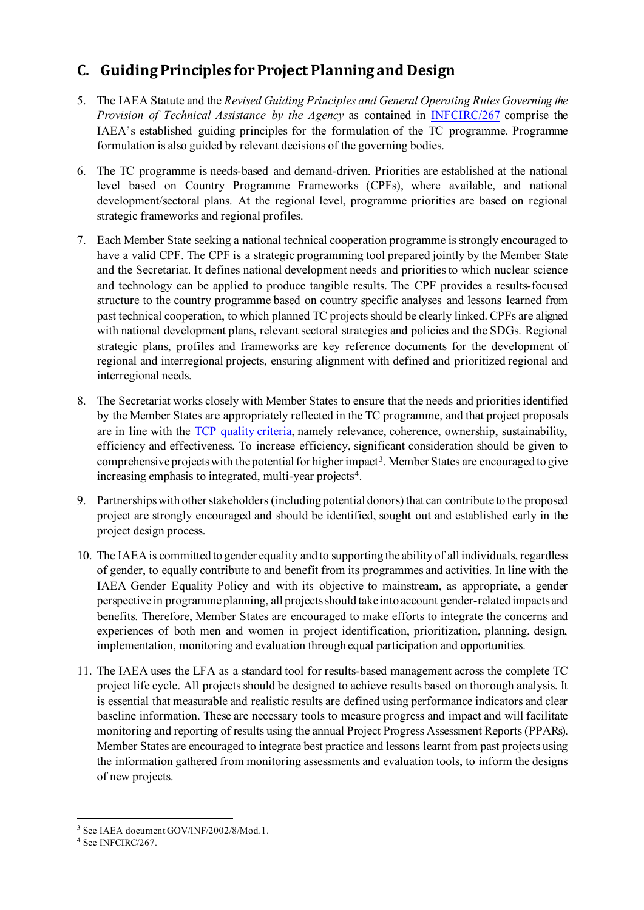## **C. Guiding Principles for Project Planning and Design**

- 5. The IAEA Statute and the *Revised Guiding Principles and General Operating Rules Governing the Provision of Technical Assistance by the Agency* as contained in [INFCIRC/267](https://www.iaea.org/sites/default/files/publications/documents/infcircs/1979/infcirc267.pdf) comprise the IAEA's established guiding principles for the formulation of the TC programme. Programme formulation is also guided by relevant decisions of the governing bodies.
- 6. The TC programme is needs-based and demand-driven. Priorities are established at the national level based on Country Programme Frameworks (CPFs), where available, and national development/sectoral plans. At the regional level, programme priorities are based on regional strategic frameworks and regional profiles.
- 7. Each Member State seeking a national technical cooperation programme is strongly encouraged to have a valid CPF. The CPF is a strategic programming tool prepared jointly by the Member State and the Secretariat. It defines national development needs and priorities to which nuclear science and technology can be applied to produce tangible results. The CPF provides a results-focused structure to the country programme based on country specific analyses and lessons learned from past technical cooperation, to which planned TC projects should be clearly linked. CPFs are aligned with national development plans, relevant sectoral strategies and policies and the SDGs. Regional strategic plans, profiles and frameworks are key reference documents for the development of regional and interregional projects, ensuring alignment with defined and prioritized regional and interregional needs.
- 8. The Secretariat works closely with Member States to ensure that the needs and priorities identified by the Member States are appropriately reflected in the TC programme, and that project proposals are in line with the TCP [quality criteria,](https://pcmf.iaea.org/DesktopModules/PCMF/docs/2022_23_Docs/quality/TC_Programme_Quality_Criteria_2020_12_08.pdf) namely relevance, coherence, ownership, sustainability, efficiency and effectiveness. To increase efficiency, significant consideration should be given to comprehensive projects with the potential for higher impact<sup>[3](#page-1-0)</sup>. Member States are encouraged to give increasing emphasis to integrated, multi-year projects<sup>[4](#page-1-1)</sup>.
- 9. Partnershipswith other stakeholders (including potential donors) that can contribute to the proposed project are strongly encouraged and should be identified, sought out and established early in the project design process.
- 10. The IAEAis committed to gender equality and to supporting the ability of all individuals, regardless of gender, to equally contribute to and benefit from its programmes and activities. In line with the IAEA Gender Equality Policy and with its objective to mainstream, as appropriate, a gender perspective in programme planning, all projectsshould take into account gender-related impacts and benefits. Therefore, Member States are encouraged to make efforts to integrate the concerns and experiences of both men and women in project identification, prioritization, planning, design, implementation, monitoring and evaluation through equal participation and opportunities.
- 11. The IAEA uses the LFA as a standard tool for results-based management across the complete TC project life cycle. All projects should be designed to achieve results based on thorough analysis. It is essential that measurable and realistic results are defined using performance indicators and clear baseline information. These are necessary tools to measure progress and impact and will facilitate monitoring and reporting of results using the annual Project Progress Assessment Reports (PPARs). Member States are encouraged to integrate best practice and lessons learnt from past projects using the information gathered from monitoring assessments and evaluation tools, to inform the designs of new projects.

<span id="page-1-0"></span><sup>3</sup> See IAEA document GOV/INF/2002/8/Mod.1.

<span id="page-1-1"></span><sup>4</sup> See INFCIRC/267.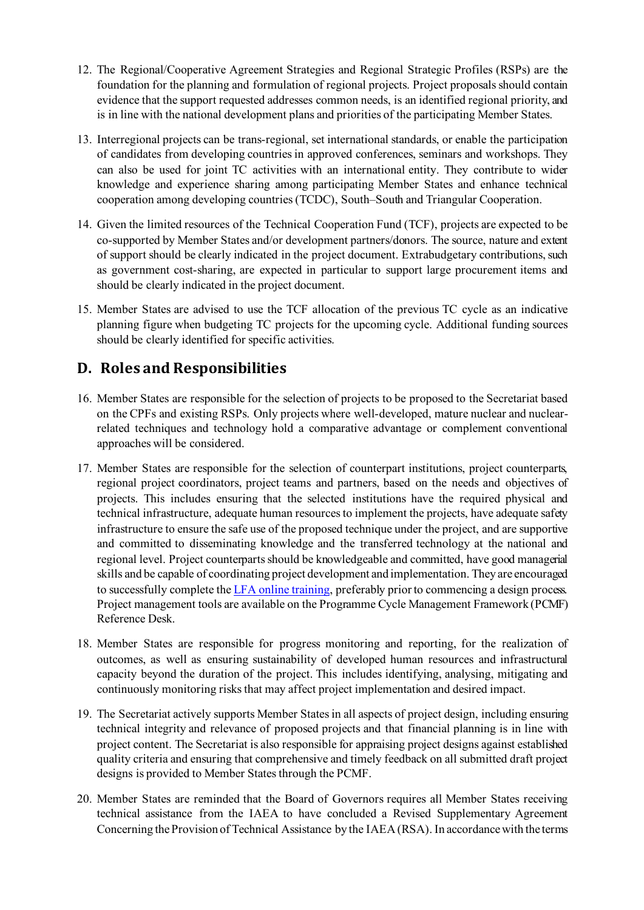- 12. The Regional/Cooperative Agreement Strategies and Regional Strategic Profiles (RSPs) are the foundation for the planning and formulation of regional projects. Project proposalsshould contain evidence that the support requested addresses common needs, is an identified regional priority, and is in line with the national development plans and priorities of the participating Member States.
- 13. Interregional projects can be trans-regional, set international standards, or enable the participation of candidates from developing countries in approved conferences, seminars and workshops. They can also be used for joint TC activities with an international entity. They contribute to wider knowledge and experience sharing among participating Member States and enhance technical cooperation among developing countries (TCDC), South–South and Triangular Cooperation.
- 14. Given the limited resources of the Technical Cooperation Fund (TCF), projects are expected to be co-supported by Member States and/or development partners/donors. The source, nature and extent of support should be clearly indicated in the project document. Extrabudgetary contributions, such as government cost-sharing, are expected in particular to support large procurement items and should be clearly indicated in the project document.
- 15. Member States are advised to use the TCF allocation of the previous TC cycle as an indicative planning figure when budgeting TC projects for the upcoming cycle. Additional funding sources should be clearly identified for specific activities.

## **D. Roles and Responsibilities**

- 16. Member States are responsible for the selection of projects to be proposed to the Secretariat based on the CPFs and existing RSPs. Only projects where well-developed, mature nuclear and nuclearrelated techniques and technology hold a comparative advantage or complement conventional approaches will be considered.
- 17. Member States are responsible for the selection of counterpart institutions, project counterparts, regional project coordinators, project teams and partners, based on the needs and objectives of projects. This includes ensuring that the selected institutions have the required physical and technical infrastructure, adequate human resources to implement the projects, have adequate safety infrastructure to ensure the safe use of the proposed technique under the project, and are supportive and committed to disseminating knowledge and the transferred technology at the national and regional level. Project counterparts should be knowledgeable and committed, have good managerial skills and be capable of coordinating project development and implementation. They are encouraged to successfully complete th[e LFA online training,](https://elearning.iaea.org/m2/course/view.php?id=478) preferably prior to commencing a design process. Project management tools are available on the Programme Cycle Management Framework (PCMF) Reference Desk.
- 18. Member States are responsible for progress monitoring and reporting, for the realization of outcomes, as well as ensuring sustainability of developed human resources and infrastructural capacity beyond the duration of the project. This includes identifying, analysing, mitigating and continuously monitoring risks that may affect project implementation and desired impact.
- 19. The Secretariat actively supports Member States in all aspects of project design, including ensuring technical integrity and relevance of proposed projects and that financial planning is in line with project content. The Secretariat is also responsible for appraising project designs against established quality criteria and ensuring that comprehensive and timely feedback on all submitted draft project designs is provided to Member States through the PCMF.
- 20. Member States are reminded that the Board of Governors requires all Member States receiving technical assistance from the IAEA to have concluded a Revised Supplementary Agreement Concerning the Provision of Technical Assistance by the IAEA (RSA). In accordance with the terms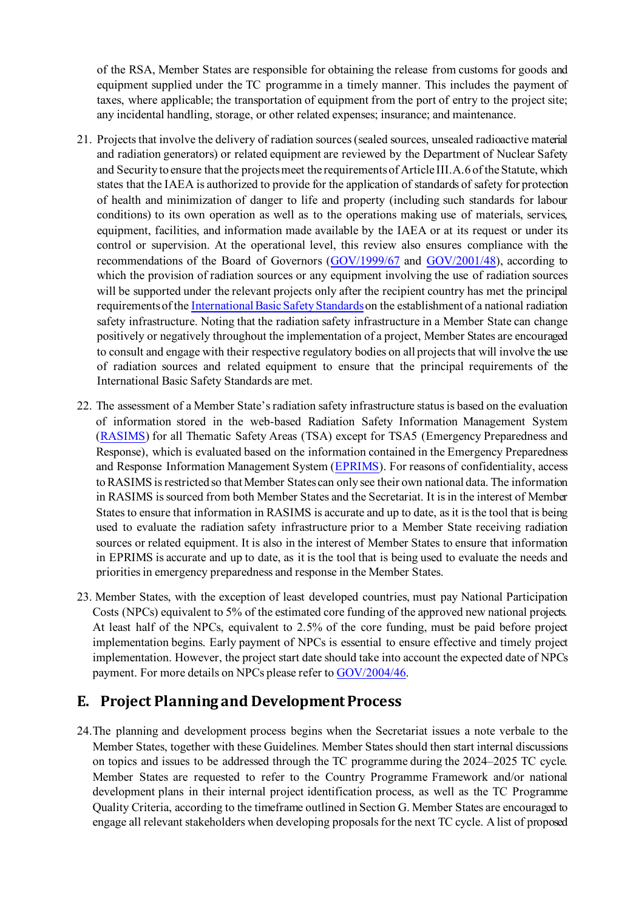of the RSA, Member States are responsible for obtaining the release from customs for goods and equipment supplied under the TC programme in a timely manner. This includes the payment of taxes, where applicable; the transportation of equipment from the port of entry to the project site; any incidental handling, storage, or other related expenses; insurance; and maintenance.

- 21. Projects that involve the delivery of radiation sources (sealed sources, unsealed radioactive material and radiation generators) or related equipment are reviewed by the Department of Nuclear Safety and Security to ensure that the projects meet the requirements of Article III.A.6 of the Statute, which states that the IAEA is authorized to provide for the application of standards of safety for protection of health and minimization of danger to life and property (including such standards for labour conditions) to its own operation as well as to the operations making use of materials, services, equipment, facilities, and information made available by the IAEA or at its request or under its control or supervision. At the operational level, this review also ensures compliance with the recommendations of the Board of Governors [\(GOV/1999/67](https://govatom.iaea.org/GovAtom%20Documents/1999/GOV-1999-67/gov99_67_en.pdf) and [GOV/2001/48\)](https://govatom.iaea.org/GovAtom%20Documents/2001/GOV-2001-48/gov2001-48_en.pdf), according to which the provision of radiation sources or any equipment involving the use of radiation sources will be supported under the relevant projects only after the recipient country has met the principal requirements of th[e International Basic Safety Standards](https://www.iaea.org/resources/safety-standards)on the establishment of a national radiation safety infrastructure. Noting that the radiation safety infrastructure in a Member State can change positively or negatively throughout the implementation of a project, Member States are encouraged to consult and engage with their respective regulatory bodies on all projects that will involve the use of radiation sources and related equipment to ensure that the principal requirements of the International Basic Safety Standards are met.
- 22. The assessment of a Member State's radiation safety infrastructure status is based on the evaluation of information stored in the web-based Radiation Safety Information Management System [\(RASIMS\)](http://rasims.iaea.org/) for all Thematic Safety Areas (TSA) except for TSA5 (Emergency Preparedness and Response), which is evaluated based on the information contained in the Emergency Preparedness and Response Information Management System [\(EPRIMS\)](https://iec.iaea.org/eprims/). For reasons of confidentiality, access to RASIMS is restricted so that Member States can only see their own national data. The information in RASIMS is sourced from both Member States and the Secretariat. It is in the interest of Member States to ensure that information in RASIMS is accurate and up to date, as it isthe tool that is being used to evaluate the radiation safety infrastructure prior to a Member State receiving radiation sources or related equipment. It is also in the interest of Member States to ensure that information in EPRIMS is accurate and up to date, as it is the tool that is being used to evaluate the needs and priorities in emergency preparedness and response in the Member States.
- 23. Member States, with the exception of least developed countries, must pay National Participation Costs (NPCs) equivalent to 5% of the estimated core funding of the approved new national projects. At least half of the NPCs, equivalent to 2.5% of the core funding, must be paid before project implementation begins. Early payment of NPCs is essential to ensure effective and timely project implementation. However, the project start date should take into account the expected date of NPCs payment. For more details on NPCs please refer t[o GOV/2004/46.](https://govatom.iaea.org/GovAtom%20Documents/2004/gov-2004-46/gov2004-46_en.pdf)

#### **E. Project Planning and Development Process**

24.The planning and development process begins when the Secretariat issues a note verbale to the Member States, together with these Guidelines. Member States should then start internal discussions on topics and issues to be addressed through the TC programme during the 2024–2025 TC cycle. Member States are requested to refer to the Country Programme Framework and/or national development plans in their internal project identification process, as well as the TC Programme Quality Criteria, according to the timeframe outlined in Section G. Member States are encouraged to engage all relevant stakeholders when developing proposals for the next TC cycle. A list of proposed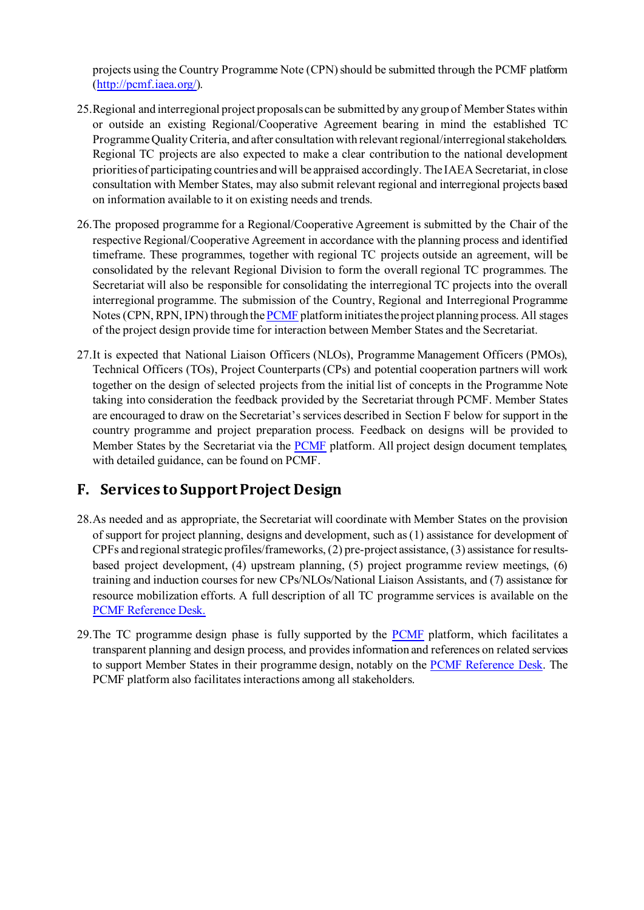projects using the Country Programme Note (CPN) should be submitted through the PCMF platform [\(http://pcmf.iaea.org/](http://pcmf.iaea.org/)).

- 25.Regional and interregional project proposalscan be submitted by any group of Member States within or outside an existing Regional/Cooperative Agreement bearing in mind the established TC Programme Quality Criteria, and after consultation with relevant regional/interregional stakeholders. Regional TC projects are also expected to make a clear contribution to the national development priorities of participating countries andwill be appraised accordingly. The IAEASecretariat, in close consultation with Member States, may also submit relevant regional and interregional projects based on information available to it on existing needs and trends.
- 26.The proposed programme for a Regional/Cooperative Agreement is submitted by the Chair of the respective Regional/Cooperative Agreement in accordance with the planning process and identified timeframe. These programmes, together with regional TC projects outside an agreement, will be consolidated by the relevant Regional Division to form the overall regional TC programmes. The Secretariat will also be responsible for consolidating the interregional TC projects into the overall interregional programme. The submission of the Country, Regional and Interregional Programme Notes (CPN, RPN, IPN) through th[e PCMF](http://pcmf.iaea.org/) platform initiates the project planning process. All stages of the project design provide time for interaction between Member States and the Secretariat.
- 27.It is expected that National Liaison Officers (NLOs), Programme Management Officers (PMOs), Technical Officers (TOs), Project Counterparts(CPs) and potential cooperation partners will work together on the design of selected projects from the initial list of concepts in the Programme Note taking into consideration the feedback provided by the Secretariat through PCMF. Member States are encouraged to draw on the Secretariat's services described in Section F below for support in the country programme and project preparation process. Feedback on designs will be provided to Member States by the Secretariat via the [PCMF](http://pcmf.iaea.org/) platform. All project design document templates, with detailed guidance, can be found on PCMF.

### **F. Services to Support Project Design**

- 28.As needed and as appropriate, the Secretariat will coordinate with Member States on the provision of support for project planning, designs and development, such as (1) assistance for development of CPFs and regional strategic profiles/frameworks, (2) pre-project assistance, (3) assistance for resultsbased project development, (4) upstream planning, (5) project programme review meetings, (6) training and induction courses for new CPs/NLOs/National Liaison Assistants, and (7) assistance for resource mobilization efforts. A full description of all TC programme services is available on the [PCMF Reference Desk.](https://pcmf.iaea.org/PCMFReferenceDesk.aspx)
- 29.The TC programme design phase is fully supported by the [PCMF](http://pcmf.iaea.org/) platform, which facilitates a transparent planning and design process, and provides information and references on related services to support Member States in their programme design, notably on the [PCMF Reference Desk.](https://pcmf.iaea.org/PCMFReferenceDesk.aspx) The PCMF platform also facilitates interactions among all stakeholders.